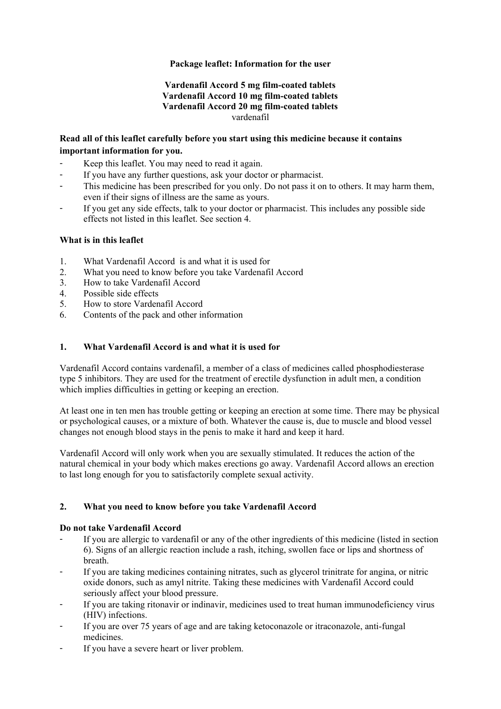# **Package leaflet: Information for the user**

## **Vardenafil Accord 5 mg film-coated tablets Vardenafil Accord 10 mg film-coated tablets Vardenafil Accord 20 mg film-coated tablets**  vardenafil

# **Read all of this leaflet carefully before you start using this medicine because it contains important information for you.**

- Keep this leaflet. You may need to read it again.
- If you have any further questions, ask your doctor or pharmacist.
- This medicine has been prescribed for you only. Do not pass it on to others. It may harm them, even if their signs of illness are the same as yours.
- If you get any side effects, talk to your doctor or pharmacist. This includes any possible side effects not listed in this leaflet. See section 4.

## **What is in this leaflet**

- 1. What Vardenafil Accord is and what it is used for
- 2. What you need to know before you take Vardenafil Accord
- 3. How to take Vardenafil Accord
- 4. Possible side effects
- 5. How to store Vardenafil Accord
- 6. Contents of the pack and other information

# **1. What Vardenafil Accord is and what it is used for**

Vardenafil Accord contains vardenafil, a member of a class of medicines called phosphodiesterase type 5 inhibitors. They are used for the treatment of erectile dysfunction in adult men, a condition which implies difficulties in getting or keeping an erection.

At least one in ten men has trouble getting or keeping an erection at some time. There may be physical or psychological causes, or a mixture of both. Whatever the cause is, due to muscle and blood vessel changes not enough blood stays in the penis to make it hard and keep it hard.

Vardenafil Accord will only work when you are sexually stimulated. It reduces the action of the natural chemical in your body which makes erections go away. Vardenafil Accord allows an erection to last long enough for you to satisfactorily complete sexual activity.

## **2. What you need to know before you take Vardenafil Accord**

## **Do not take Vardenafil Accord**

- If you are allergic to vardenafil or any of the other ingredients of this medicine (listed in section 6). Signs of an allergic reaction include a rash, itching, swollen face or lips and shortness of breath.
- If you are taking medicines containing nitrates, such as glycerol trinitrate for angina, or nitric oxide donors, such as amyl nitrite. Taking these medicines with Vardenafil Accord could seriously affect your blood pressure.
- If you are taking ritonavir or indinavir, medicines used to treat human immunodeficiency virus (HIV) infections.
- If you are over 75 years of age and are taking ketoconazole or itraconazole, anti-fungal medicines.
- If you have a severe heart or liver problem.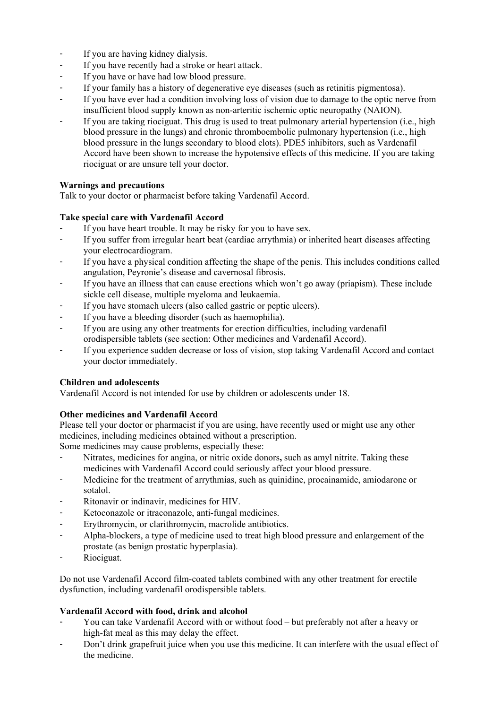- If you are having kidney dialysis.
- If you have recently had a stroke or heart attack.
- If you have or have had low blood pressure.
- If your family has a history of degenerative eye diseases (such as retinitis pigmentosa).
- If you have ever had a condition involving loss of vision due to damage to the optic nerve from insufficient blood supply known as non-arteritic ischemic optic neuropathy (NAION).
- If you are taking riociguat. This drug is used to treat pulmonary arterial hypertension (i.e., high blood pressure in the lungs) and chronic thromboembolic pulmonary hypertension (i.e., high blood pressure in the lungs secondary to blood clots). PDE5 inhibitors, such as Vardenafil Accord have been shown to increase the hypotensive effects of this medicine. If you are taking riociguat or are unsure tell your doctor.

# **Warnings and precautions**

Talk to your doctor or pharmacist before taking Vardenafil Accord.

# **Take special care with Vardenafil Accord**

- If you have heart trouble. It may be risky for you to have sex.
- If you suffer from irregular heart beat (cardiac arrythmia) or inherited heart diseases affecting your electrocardiogram.
- If you have a physical condition affecting the shape of the penis. This includes conditions called angulation, Peyronie's disease and cavernosal fibrosis.
- If you have an illness that can cause erections which won't go away (priapism). These include sickle cell disease, multiple myeloma and leukaemia.
- If you have stomach ulcers (also called gastric or peptic ulcers).
- If you have a bleeding disorder (such as haemophilia).
- If you are using any other treatments for erection difficulties, including vardenafil orodispersible tablets (see section: Other medicines and Vardenafil Accord).
- If you experience sudden decrease or loss of vision, stop taking Vardenafil Accord and contact your doctor immediately.

# **Children and adolescents**

Vardenafil Accord is not intended for use by children or adolescents under 18.

# **Other medicines and Vardenafil Accord**

Please tell your doctor or pharmacist if you are using, have recently used or might use any other medicines, including medicines obtained without a prescription.

Some medicines may cause problems, especially these:

- Nitrates, medicines for angina, or nitric oxide donors**,** such as amyl nitrite. Taking these medicines with Vardenafil Accord could seriously affect your blood pressure.
- Medicine for the treatment of arrythmias, such as quinidine, procainamide, amiodarone or sotalol.
- Ritonavir or indinavir, medicines for HIV.
- Ketoconazole or itraconazole, anti-fungal medicines.
- Erythromycin, or clarithromycin, macrolide antibiotics.
- Alpha-blockers, a type of medicine used to treat high blood pressure and enlargement of the prostate (as benign prostatic hyperplasia).
- Riociguat.

Do not use Vardenafil Accord film-coated tablets combined with any other treatment for erectile dysfunction, including vardenafil orodispersible tablets.

# **Vardenafil Accord with food, drink and alcohol**

- You can take Vardenafil Accord with or without food but preferably not after a heavy or high-fat meal as this may delay the effect.
- Don't drink grapefruit juice when you use this medicine. It can interfere with the usual effect of the medicine.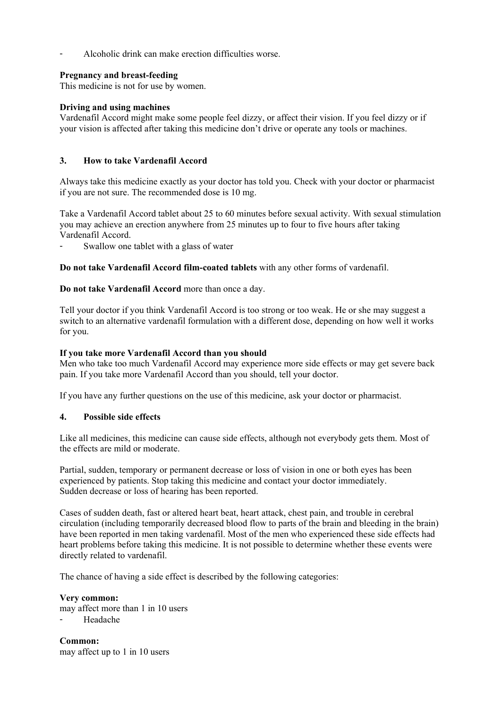Alcoholic drink can make erection difficulties worse.

## **Pregnancy and breast-feeding**

This medicine is not for use by women.

## **Driving and using machines**

Vardenafil Accord might make some people feel dizzy, or affect their vision. If you feel dizzy or if your vision is affected after taking this medicine don't drive or operate any tools or machines.

## **3. How to take Vardenafil Accord**

Always take this medicine exactly as your doctor has told you. Check with your doctor or pharmacist if you are not sure. The recommended dose is 10 mg.

Take a Vardenafil Accord tablet about 25 to 60 minutes before sexual activity. With sexual stimulation you may achieve an erection anywhere from 25 minutes up to four to five hours after taking Vardenafil Accord.

Swallow one tablet with a glass of water

**Do not take Vardenafil Accord film-coated tablets** with any other forms of vardenafil.

## **Do not take Vardenafil Accord** more than once a day.

Tell your doctor if you think Vardenafil Accord is too strong or too weak. He or she may suggest a switch to an alternative vardenafil formulation with a different dose, depending on how well it works for you.

### **If you take more Vardenafil Accord than you should**

Men who take too much Vardenafil Accord may experience more side effects or may get severe back pain. If you take more Vardenafil Accord than you should, tell your doctor.

If you have any further questions on the use of this medicine, ask your doctor or pharmacist.

## **4. Possible side effects**

Like all medicines, this medicine can cause side effects, although not everybody gets them. Most of the effects are mild or moderate.

Partial, sudden, temporary or permanent decrease or loss of vision in one or both eyes has been experienced by patients. Stop taking this medicine and contact your doctor immediately. Sudden decrease or loss of hearing has been reported.

Cases of sudden death, fast or altered heart beat, heart attack, chest pain, and trouble in cerebral circulation (including temporarily decreased blood flow to parts of the brain and bleeding in the brain) have been reported in men taking vardenafil. Most of the men who experienced these side effects had heart problems before taking this medicine. It is not possible to determine whether these events were directly related to vardenafil.

The chance of having a side effect is described by the following categories:

**Very common:**  may affect more than 1 in 10 users Headache

**Common:**  may affect up to 1 in 10 users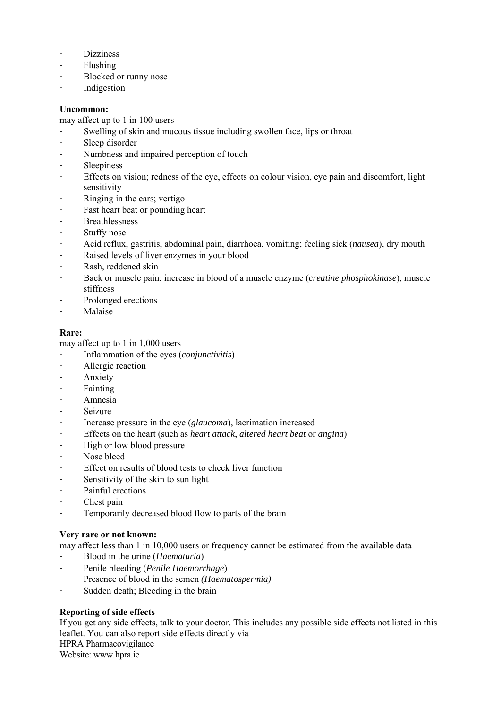- Dizziness
- Flushing
- Blocked or runny nose
- Indigestion

## **Uncommon:**

may affect up to 1 in 100 users

- Swelling of skin and mucous tissue including swollen face, lips or throat
- Sleep disorder
- Numbness and impaired perception of touch
- Sleepiness
- Effects on vision; redness of the eye, effects on colour vision, eye pain and discomfort, light sensitivity
- Ringing in the ears; vertigo
- Fast heart beat or pounding heart
- Breathlessness
- Stuffy nose
- Acid reflux, gastritis, abdominal pain, diarrhoea, vomiting; feeling sick (*nausea*), dry mouth
- Raised levels of liver enzymes in your blood
- Rash, reddened skin
- Back or muscle pain; increase in blood of a muscle enzyme (*creatine phosphokinase*), muscle stiffness
- Prolonged erections
- Malaise

# **Rare:**

may affect up to 1 in 1,000 users

- Inflammation of the eyes (*conjunctivitis*)
- Allergic reaction
- **Anxiety**
- Fainting
- Amnesia
- Seizure
- Increase pressure in the eye (*glaucoma*), lacrimation increased
- Effects on the heart (such as *heart attack*, *altered heart beat* or *angina*)
- High or low blood pressure
- Nose bleed
- Effect on results of blood tests to check liver function
- Sensitivity of the skin to sun light
- Painful erections
- Chest pain
- Temporarily decreased blood flow to parts of the brain

# **Very rare or not known:**

may affect less than 1 in 10,000 users or frequency cannot be estimated from the available data

- Blood in the urine (*Haematuria*)
- Penile bleeding (*Penile Haemorrhage*)
- Presence of blood in the semen *(Haematospermia)*
- Sudden death; Bleeding in the brain

# **Reporting of side effects**

If you get any side effects, talk to your doctor. This includes any possible side effects not listed in this leaflet. You can also report side effects directly via HPRA Pharmacovigilance

Website: www.hpra.ie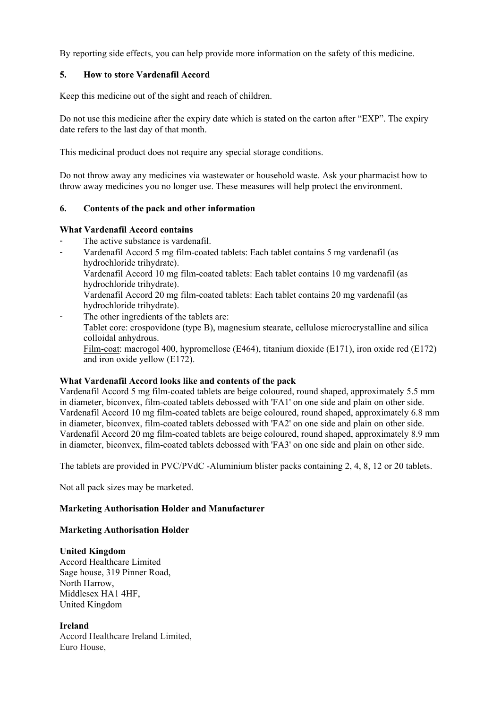By reporting side effects, you can help provide more information on the safety of this medicine.

## **5. How to store Vardenafil Accord**

Keep this medicine out of the sight and reach of children.

Do not use this medicine after the expiry date which is stated on the carton after "EXP". The expiry date refers to the last day of that month.

This medicinal product does not require any special storage conditions.

Do not throw away any medicines via wastewater or household waste. Ask your pharmacist how to throw away medicines you no longer use. These measures will help protect the environment.

### **6. Contents of the pack and other information**

#### **What Vardenafil Accord contains**

- The active substance is vardenafil.
- Vardenafil Accord 5 mg film-coated tablets: Each tablet contains 5 mg vardenafil (as hydrochloride trihydrate).
	- Vardenafil Accord 10 mg film-coated tablets: Each tablet contains 10 mg vardenafil (as hydrochloride trihydrate).

Vardenafil Accord 20 mg film-coated tablets: Each tablet contains 20 mg vardenafil (as hydrochloride trihydrate).

 The other ingredients of the tablets are: Tablet core: crospovidone (type B), magnesium stearate, cellulose microcrystalline and silica colloidal anhydrous. Film-coat: macrogol 400, hypromellose (E464), titanium dioxide (E171), iron oxide red (E172) and iron oxide yellow (E172).

## **What Vardenafil Accord looks like and contents of the pack**

Vardenafil Accord 5 mg film-coated tablets are beige coloured, round shaped, approximately 5.5 mm in diameter, biconvex, film-coated tablets debossed with 'FA1' on one side and plain on other side. Vardenafil Accord 10 mg film-coated tablets are beige coloured, round shaped, approximately 6.8 mm in diameter, biconvex, film-coated tablets debossed with 'FA2' on one side and plain on other side. Vardenafil Accord 20 mg film-coated tablets are beige coloured, round shaped, approximately 8.9 mm in diameter, biconvex, film-coated tablets debossed with 'FA3' on one side and plain on other side.

The tablets are provided in PVC/PVdC -Aluminium blister packs containing 2, 4, 8, 12 or 20 tablets.

Not all pack sizes may be marketed.

## **Marketing Authorisation Holder and Manufacturer**

#### **Marketing Authorisation Holder**

#### **United Kingdom**

Accord Healthcare Limited Sage house, 319 Pinner Road, North Harrow, Middlesex HA1 4HF, United Kingdom

#### **Ireland**

Accord Healthcare Ireland Limited, Euro House,